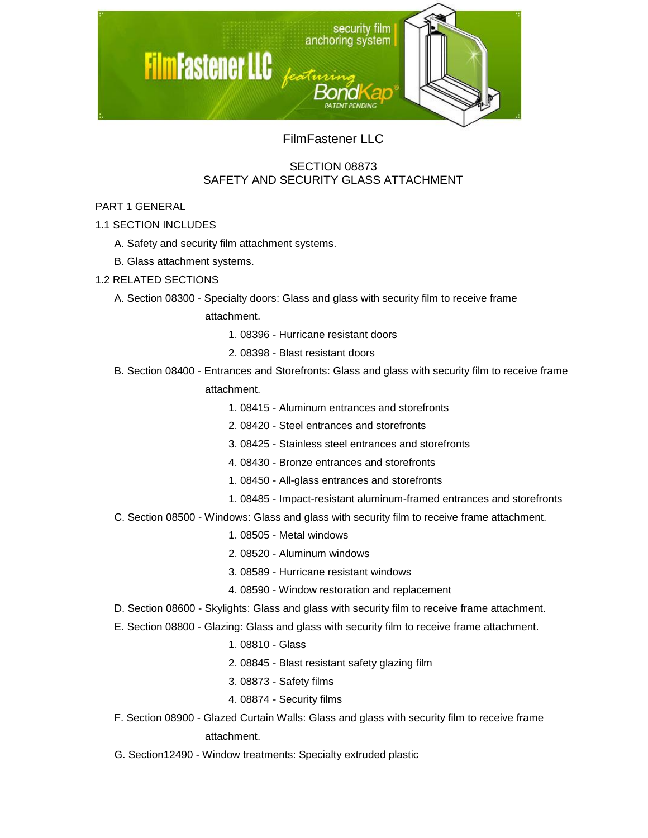

FilmFastener LLC

# SECTION 08873 SAFETY AND SECURITY GLASS ATTACHMENT

## PART 1 GENERAL

1.1 SECTION INCLUDES

- A. Safety and security film attachment systems.
- B. Glass attachment systems.

### 1.2 RELATED SECTIONS

A. Section 08300 - Specialty doors: Glass and glass with security film to receive frame

attachment.

- 1. 08396 Hurricane resistant doors
- 2. 08398 Blast resistant doors
- B. Section 08400 Entrances and Storefronts: Glass and glass with security film to receive frame

attachment.

- 1. 08415 Aluminum entrances and storefronts
- 2. 08420 Steel entrances and storefronts
- 3. 08425 Stainless steel entrances and storefronts
- 4. 08430 Bronze entrances and storefronts
- 1. 08450 All-glass entrances and storefronts
- 1. 08485 Impact-resistant aluminum-framed entrances and storefronts
- C. Section 08500 Windows: Glass and glass with security film to receive frame attachment.
	- 1. 08505 Metal windows
	- 2. 08520 Aluminum windows
	- 3. 08589 Hurricane resistant windows
	- 4. 08590 Window restoration and replacement
- D. Section 08600 Skylights: Glass and glass with security film to receive frame attachment.
- E. Section 08800 Glazing: Glass and glass with security film to receive frame attachment.
	- 1. 08810 Glass
	- 2. 08845 Blast resistant safety glazing film
	- 3. 08873 Safety films
	- 4. 08874 Security films
- F. Section 08900 Glazed Curtain Walls: Glass and glass with security film to receive frame attachment.
- G. Section12490 Window treatments: Specialty extruded plastic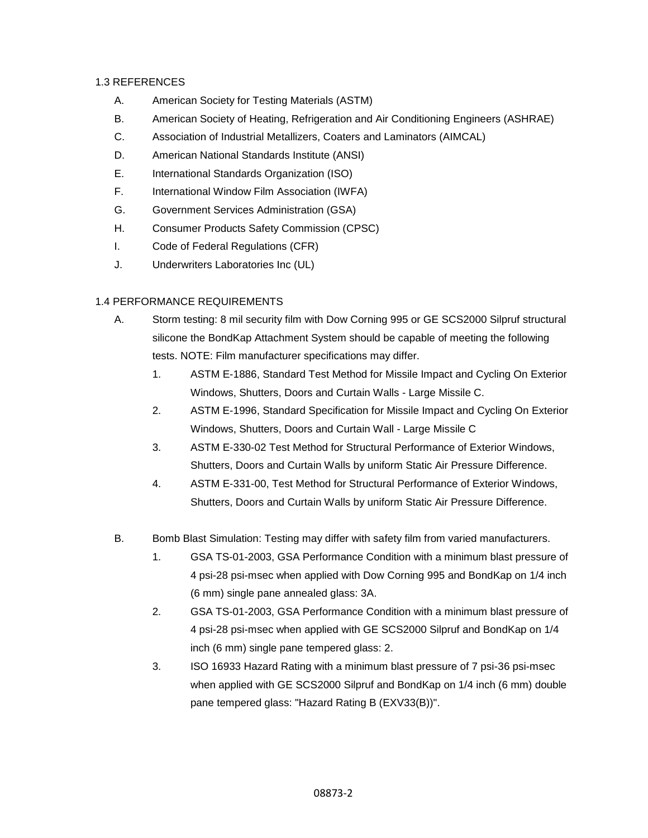### 1.3 REFERENCES

- A. American Society for Testing Materials (ASTM)
- B. American Society of Heating, Refrigeration and Air Conditioning Engineers (ASHRAE)
- C. Association of Industrial Metallizers, Coaters and Laminators (AIMCAL)
- D. American National Standards Institute (ANSI)
- E. International Standards Organization (ISO)
- F. International Window Film Association (IWFA)
- G. Government Services Administration (GSA)
- H. Consumer Products Safety Commission (CPSC)
- I. Code of Federal Regulations (CFR)
- J. Underwriters Laboratories Inc (UL)

#### 1.4 PERFORMANCE REQUIREMENTS

- A. Storm testing: 8 mil security film with Dow Corning 995 or GE SCS2000 Silpruf structural silicone the BondKap Attachment System should be capable of meeting the following tests. NOTE: Film manufacturer specifications may differ.
	- 1. ASTM E-1886, Standard Test Method for Missile Impact and Cycling On Exterior Windows, Shutters, Doors and Curtain Walls - Large Missile C.
	- 2. ASTM E-1996, Standard Specification for Missile Impact and Cycling On Exterior Windows, Shutters, Doors and Curtain Wall - Large Missile C
	- 3. ASTM E-330-02 Test Method for Structural Performance of Exterior Windows, Shutters, Doors and Curtain Walls by uniform Static Air Pressure Difference.
	- 4. ASTM E-331-00, Test Method for Structural Performance of Exterior Windows, Shutters, Doors and Curtain Walls by uniform Static Air Pressure Difference.
- B. Bomb Blast Simulation: Testing may differ with safety film from varied manufacturers.
	- 1. GSA TS-01-2003, GSA Performance Condition with a minimum blast pressure of 4 psi-28 psi-msec when applied with Dow Corning 995 and BondKap on 1/4 inch (6 mm) single pane annealed glass: 3A.
	- 2. GSA TS-01-2003, GSA Performance Condition with a minimum blast pressure of 4 psi-28 psi-msec when applied with GE SCS2000 Silpruf and BondKap on 1/4 inch (6 mm) single pane tempered glass: 2.
	- 3. ISO 16933 Hazard Rating with a minimum blast pressure of 7 psi-36 psi-msec when applied with GE SCS2000 Silpruf and BondKap on 1/4 inch (6 mm) double pane tempered glass: "Hazard Rating B (EXV33(B))".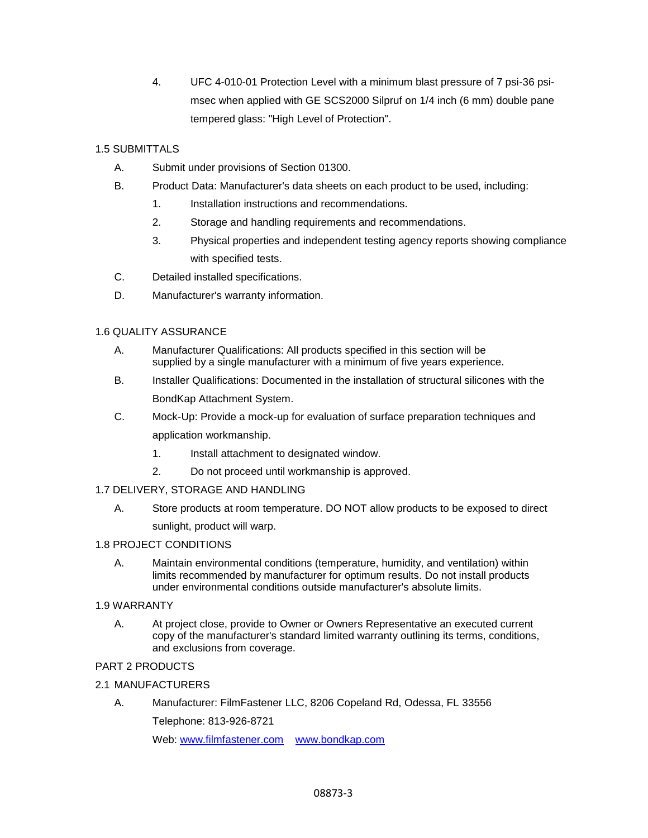4. UFC 4-010-01 Protection Level with a minimum blast pressure of 7 psi-36 psimsec when applied with GE SCS2000 Silpruf on 1/4 inch (6 mm) double pane tempered glass: "High Level of Protection".

### 1.5 SUBMITTALS

- A. Submit under provisions of Section 01300.
- B. Product Data: Manufacturer's data sheets on each product to be used, including:
	- 1. Installation instructions and recommendations.
	- 2. Storage and handling requirements and recommendations.
	- 3. Physical properties and independent testing agency reports showing compliance with specified tests.
- C. Detailed installed specifications.
- D. Manufacturer's warranty information.

#### 1.6 QUALITY ASSURANCE

- A. Manufacturer Qualifications: All products specified in this section will be supplied by a single manufacturer with a minimum of five years experience.
- B. Installer Qualifications: Documented in the installation of structural silicones with the BondKap Attachment System.
- C. Mock-Up: Provide a mock-up for evaluation of surface preparation techniques and application workmanship.
	- 1. Install attachment to designated window.
	- 2. Do not proceed until workmanship is approved.

#### 1.7 DELIVERY, STORAGE AND HANDLING

A. Store products at room temperature. DO NOT allow products to be exposed to direct sunlight, product will warp.

#### 1.8 PROJECT CONDITIONS

A. Maintain environmental conditions (temperature, humidity, and ventilation) within limits recommended by manufacturer for optimum results. Do not install products under environmental conditions outside manufacturer's absolute limits.

#### 1.9 WARRANTY

A. At project close, provide to Owner or Owners Representative an executed current copy of the manufacturer's standard limited warranty outlining its terms, conditions, and exclusions from coverage.

# PART 2 PRODUCTS

#### 2.1 MANUFACTURERS

A. Manufacturer: FilmFastener LLC, 8206 Copeland Rd, Odessa, FL 33556

Telephone: 813-926-8721

Web: [www.filmfastener.com](file:///C:/Users/Home%20Business/Desktop/www.filmfastener.com) [www.bondkap.com](file:///C:/Users/Home%20Business/Desktop/www.bondkap.com)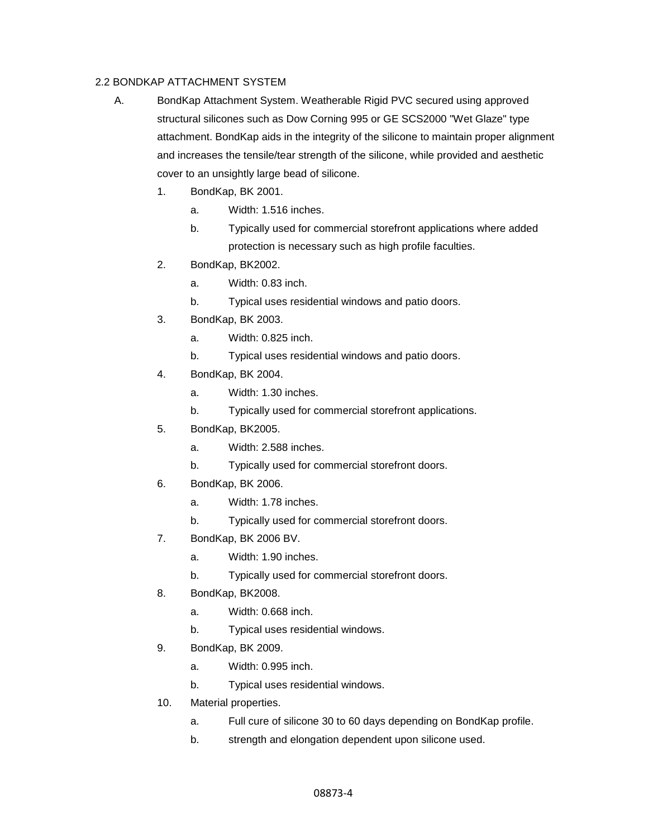### 2.2 BONDKAP ATTACHMENT SYSTEM

- A. BondKap Attachment System. Weatherable Rigid PVC secured using approved structural silicones such as Dow Corning 995 or GE SCS2000 "Wet Glaze" type attachment. BondKap aids in the integrity of the silicone to maintain proper alignment and increases the tensile/tear strength of the silicone, while provided and aesthetic cover to an unsightly large bead of silicone.
	- 1. BondKap, BK 2001.
		- a. Width: 1.516 inches.
		- b. Typically used for commercial storefront applications where added protection is necessary such as high profile faculties.
	- 2. BondKap, BK2002.
		- a. Width: 0.83 inch.
		- b. Typical uses residential windows and patio doors.
	- 3. BondKap, BK 2003.
		- a. Width: 0.825 inch.
		- b. Typical uses residential windows and patio doors.
	- 4. BondKap, BK 2004.
		- a. Width: 1.30 inches.
		- b. Typically used for commercial storefront applications.
	- 5. BondKap, BK2005.
		- a. Width: 2.588 inches.
		- b. Typically used for commercial storefront doors.
	- 6. BondKap, BK 2006.
		- a. Width: 1.78 inches.
		- b. Typically used for commercial storefront doors.
	- 7. BondKap, BK 2006 BV.
		- a. Width: 1.90 inches.
		- b. Typically used for commercial storefront doors.
	- 8. BondKap, BK2008.
		- a. Width: 0.668 inch.
		- b. Typical uses residential windows.
	- 9. BondKap, BK 2009.
		- a. Width: 0.995 inch.
		- b. Typical uses residential windows.
	- 10. Material properties.
		- a. Full cure of silicone 30 to 60 days depending on BondKap profile.
		- b. strength and elongation dependent upon silicone used.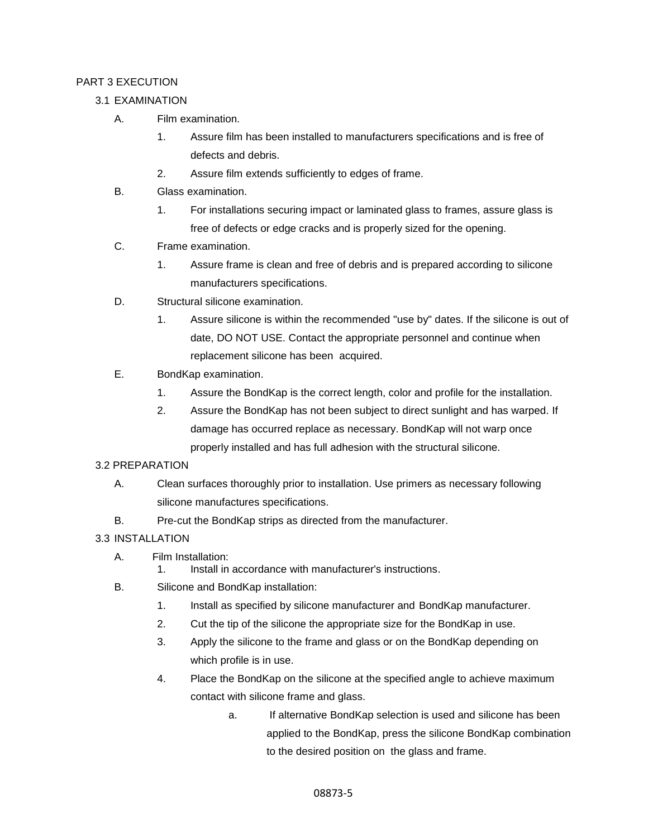## PART 3 EXECUTION

- 3.1 EXAMINATION
	- A. Film examination.
		- 1. Assure film has been installed to manufacturers specifications and is free of defects and debris.
		- 2. Assure film extends sufficiently to edges of frame.
	- B. Glass examination.
		- 1. For installations securing impact or laminated glass to frames, assure glass is free of defects or edge cracks and is properly sized for the opening.
	- C. Frame examination.
		- 1. Assure frame is clean and free of debris and is prepared according to silicone manufacturers specifications.
	- D. Structural silicone examination.
		- 1. Assure silicone is within the recommended "use by" dates. If the silicone is out of date, DO NOT USE. Contact the appropriate personnel and continue when replacement silicone has been acquired.
	- E. BondKap examination.
		- 1. Assure the BondKap is the correct length, color and profile for the installation.
		- 2. Assure the BondKap has not been subject to direct sunlight and has warped. If damage has occurred replace as necessary. BondKap will not warp once properly installed and has full adhesion with the structural silicone.

#### 3.2 PREPARATION

- A. Clean surfaces thoroughly prior to installation. Use primers as necessary following silicone manufactures specifications.
- B. Pre-cut the BondKap strips as directed from the manufacturer.

## 3.3 INSTALLATION

- A. Film Installation:
	- 1. Install in accordance with manufacturer's instructions.
- B. Silicone and BondKap installation:
	- 1. Install as specified by silicone manufacturer and BondKap manufacturer.
	- 2. Cut the tip of the silicone the appropriate size for the BondKap in use.
	- 3. Apply the silicone to the frame and glass or on the BondKap depending on which profile is in use.
	- 4. Place the BondKap on the silicone at the specified angle to achieve maximum contact with silicone frame and glass.
		- a. If alternative BondKap selection is used and silicone has been applied to the BondKap, press the silicone BondKap combination to the desired position on the glass and frame.